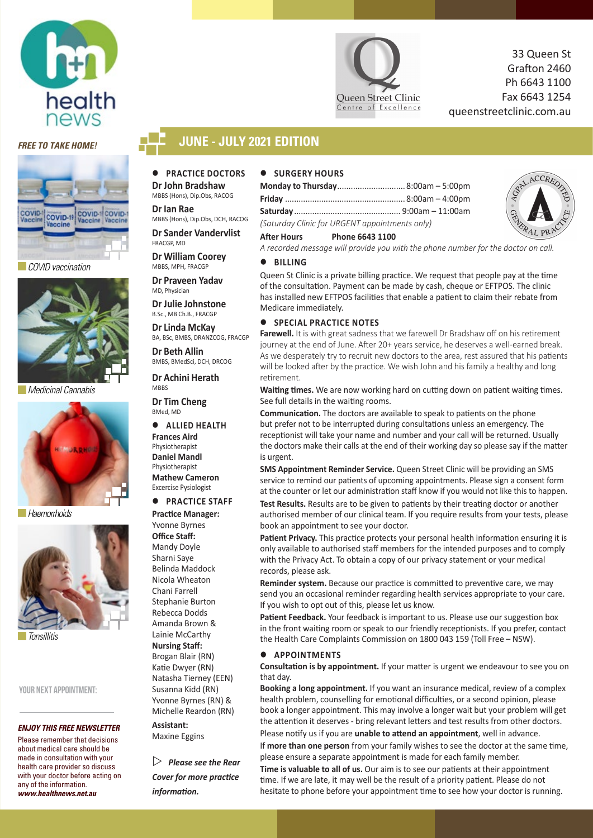



 *COVID vaccination*



 *Medicinal Cannabis*



 *Haemorrhoids*



 *Tonsillitis*

YOUR NEXT APPOINTMENT:

#### *ENJOY THIS FREE NEWSLETTER*

Please remember that decisions about medical care should be made in consultation with your health care provider so discuss with your doctor before acting on any of the information. *www.healthnews.net.au*



33 Queen St Grafton 2460 Ph 6643 1100 Fax 6643 1254 queenstreetclinic.com.au

### *FREE TO TAKE HOME!* **JUNE - JULY 2021 EDITION**

### **PRACTICE DOCTORS Dr John Bradshaw**

MBBS (Hons), Dip.Obs, RACOG **Dr Ian Rae** 

MBBS (Hons), Dip.Obs, DCH, RACOG

**Dr Sander Vandervlist** FRACGP, MD

**Dr William Coorey** MBBS, MPH, FRACGP

**Dr Praveen Yadav** MD, Physician

**Dr Julie Johnstone**  B.Sc., MBCh.B., FRACGP

**Dr Linda McKay**  BA, BSc, BMBS, DRANZCOG, FRACGP

**Dr Beth Allin** BMBS, BMedSci, DCH, DRCOG

**Dr Achini Herath MBBS** 

**Dr Tim Cheng**  BMed, MD

 **ALLIED HEALTH Frances Aird** Physiotherapist **Daniel Mandl Physiotherapist Mathew Cameron** Excercise Pysiologist

#### **• PRACTICE STAFF Practice Manager:**

Yvonne Byrnes **Office Staff:** Mandy Doyle Sharni Saye Belinda Maddock Nicola Wheaton Chani Farrell Stephanie Burton Rebecca Dodds Amanda Brown & Lainie McCarthy **Nursing Staff:**  Brogan Blair (RN) Katie Dwyer (RN) Natasha Tierney (EEN) Susanna Kidd (RN) Yvonne Byrnes (RN) & Michelle Reardon (RN)

**Assistant:** Maxine Eggins

 *Please see the Rear Cover for more practice information.*

### $\bullet$  SURGERY HOURS

| Monday to Thursday 8:00am - 5:00pm             |  |
|------------------------------------------------|--|
|                                                |  |
|                                                |  |
| (Saturday Clinic for URGENT appointments only) |  |

### **After Hours Phone 6643 1100**

*A recorded message will provide you with the phone number for the doctor on call.*

#### **BILLING**

Queen St Clinic is a private billing practice. We request that people pay at the time of the consultation. Payment can be made by cash, cheque or EFTPOS. The clinic has installed new EFTPOS facilities that enable a patient to claim their rebate from Medicare immediately.

### **SPECIAL PRACTICE NOTES**

**Farewell.** It is with great sadness that we farewell Dr Bradshaw off on his retirement journey at the end of June. After 20+ years service, he deserves a well-earned break. As we desperately try to recruit new doctors to the area, rest assured that his patients will be looked after by the practice. We wish John and his family a healthy and long retirement.

**Waiting times.** We are now working hard on cutting down on patient waiting times. See full details in the waiting rooms.

**Communication.** The doctors are available to speak to patients on the phone but prefer not to be interrupted during consultations unless an emergency. The receptionist will take your name and number and your call will be returned. Usually the doctors make their calls at the end of their working day so please say if the matter is urgent.

**SMS Appointment Reminder Service.** Queen Street Clinic will be providing an SMS service to remind our patients of upcoming appointments. Please sign a consent form at the counter or let our administration staff know if you would not like this to happen.

**Test Results.** Results are to be given to patients by their treating doctor or another authorised member of our clinical team. If you require results from your tests, please book an appointment to see your doctor.

**Patient Privacy.** This practice protects your personal health information ensuring it is only available to authorised staff members for the intended purposes and to comply with the Privacy Act. To obtain a copy of our privacy statement or your medical records, please ask.

**Reminder system.** Because our practice is committed to preventive care, we may send you an occasional reminder regarding health services appropriate to your care. If you wish to opt out of this, please let us know.

**Patient Feedback.** Your feedback is important to us. Please use our suggestion box in the front waiting room or speak to our friendly receptionists. If you prefer, contact the Health Care Complaints Commission on 1800 043 159 (Toll Free – NSW).

### **APPOINTMENTS**

**Consultation is by appointment.** If your matter is urgent we endeavour to see you on that day.

**Booking a long appointment.** If you want an insurance medical, review of a complex health problem, counselling for emotional difficulties, or a second opinion, please book a longer appointment. This may involve a longer wait but your problem will get the attention it deserves - bring relevant letters and test results from other doctors. Please notify us if you are **unable to attend an appointment**, well in advance.

If **more than one person** from your family wishes to see the doctor at the same time, please ensure a separate appointment is made for each family member.

**Time is valuable to all of us.** Our aim is to see our patients at their appointment time. If we are late, it may well be the result of a priority patient. Please do not hesitate to phone before your appointment time to see how your doctor is running.

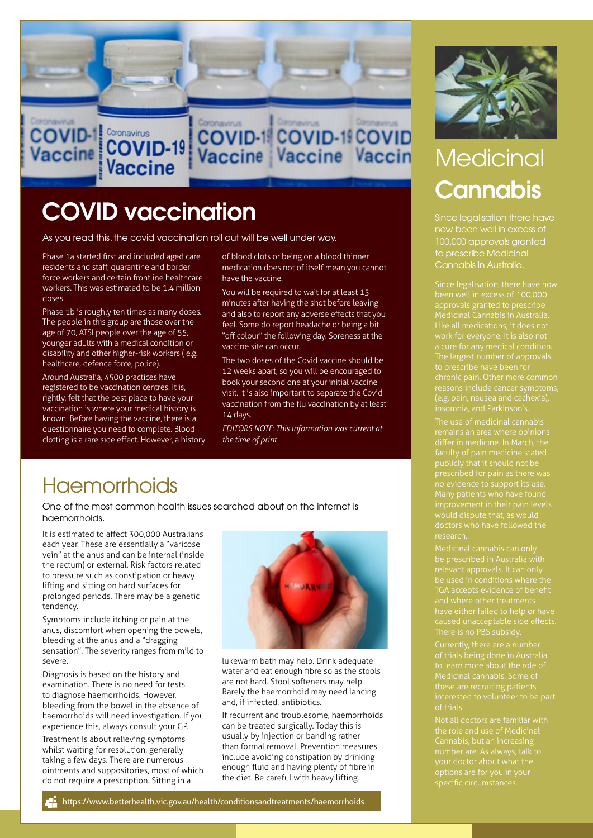

COVID-1 COVID-1 COVID<br>Vaccine Vaccine Vaccin

# COVID vaccination

**Vaccine** 

As you read this, the covid vaccination roll out will be well under way.

Phase 1a started first and included aged care residents and staff, quarantine and border force workers and certain frontline healthcare workers. This was estimated to be 1.4 million doses.

Phase 1b is roughly ten times as many doses. The people in this group are those over the age of 70, ATSI people over the age of 55, younger adults with a medical condition or disability and other higher-risk workers ( e.g. healthcare, defence force, police).

Around Australia, 4500 practices have registered to be vaccination centres. It is, rightly, felt that the best place to have your vaccination is where your medical history is known. Before having the vaccine, there is a questionnaire you need to complete. Blood clotting is a rare side effect. However, a history of blood clots or being on a blood thinner medication does not of itself mean you cannot have the vaccine.

You will be required to wait for at least 15 minutes after having the shot before leaving and also to report any adverse effects that you feel. Some do report headache or being a bit "off colour" the following day. Soreness at the vaccine site can occur.

The two doses of the Covid vaccine should be 12 weeks apart, so you will be encouraged to book your second one at your initial vaccine visit. It is also important to separate the Covid vaccination from the flu vaccination by at least 14 days.

*EDITORS NOTE: This information was current at the time of print*

## **Haemorrhoids**

One of the most common health issues searched about on the internet is haemorrhoids.

It is estimated to affect 300,000 Australians each year. These are essentially a "varicose vein" at the anus and can be internal (inside the rectum) or external. Risk factors related to pressure such as constipation or heavy lifting and sitting on hard surfaces for prolonged periods. There may be a genetic tendency.

Symptoms include itching or pain at the anus, discomfort when opening the bowels, bleeding at the anus and a "dragging sensation". The severity ranges from mild to severe.

Diagnosis is based on the history and examination. There is no need for tests to diagnose haemorrhoids. However, bleeding from the bowel in the absence of haemorrhoids will need investigation. If you experience this, always consult your GP.

Treatment is about relieving symptoms whilst waiting for resolution, generally taking a few days. There are numerous ointments and suppositories, most of which do not require a prescription. Sitting in a



lukewarm bath may help. Drink adequate water and eat enough fibre so as the stools are not hard. Stool softeners may help. Rarely the haemorrhoid may need lancing and, if infected, antibiotics.

If recurrent and troublesome, haemorrhoids can be treated surgically. Today this is usually by injection or banding rather than formal removal. Prevention measures include avoiding constipation by drinking enough fluid and having plenty of fibre in the diet. Be careful with heavy lifting.



# **Medicinal Cannabis**

Since legalisation there have 100,000 approvals granted to prescribe Medicinal Cannabis in Australia.

been well in excess of 100,000 Medicinal Cannabis in Australia. The largest number of approvals chronic pain. Other more common reasons include cancer symptoms,

The use of medicinal cannabis

be prescribed in Australia with TGA accepts evidence of benefit

these are recruiting patients

the role and use of Medicinal Cannabis, but an increasing number are. As always, talk to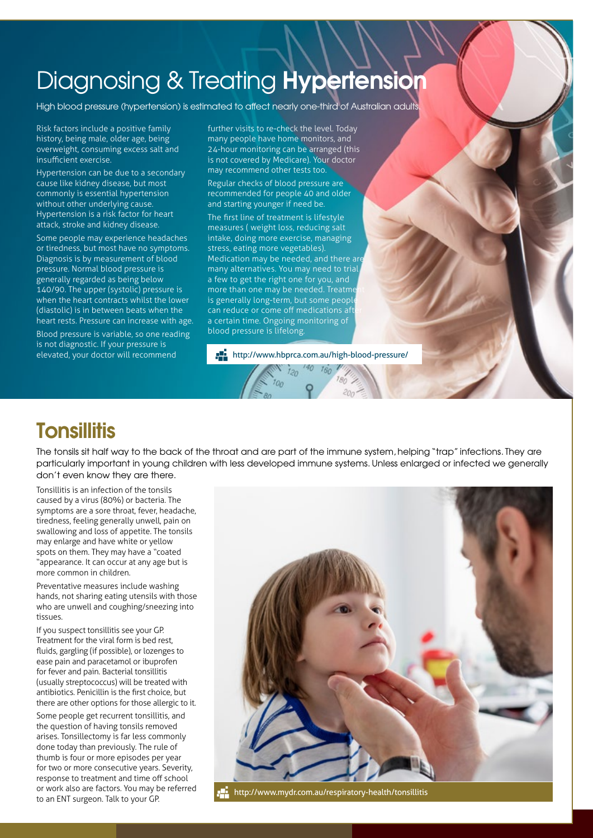# Diagnosing & Treating Hypertension

High blood pressure (hypertension) is estimated to affect nearly one-third of Australian adults.

Risk factors include a positive family history, being male, older age, being overweight, consuming excess salt and insufficient exercise.

Hypertension can be due to a secondary cause like kidney disease, but most commonly is essential hypertension without other underlying cause. Hypertension is a risk factor for heart attack, stroke and kidney disease.

Some people may experience headaches or tiredness, but most have no symptoms. Diagnosis is by measurement of blood pressure. Normal blood pressure is generally regarded as being below 140/90. The upper (systolic) pressure is when the heart contracts whilst the lower (diastolic) is in between beats when the heart rests. Pressure can increase with age.

Blood pressure is variable, so one reading is not diagnostic. If your pressure is elevated, your doctor will recommend

further visits to re-check the level. Today many people have home monitors, and 24-hour monitoring can be arranged (this is not covered by Medicare). Your doctor may recommend other tests too.

Regular checks of blood pressure are recommended for people 40 and older and starting younger if need be.

The first line of treatment is lifestyle measures ( weight loss, reducing salt intake, doing more exercise, managing stress, eating more vegetables). Medication may be needed, and there are many alternatives. You may need to trial a few to get the right one for you, and more than one may be needed. Treatme is generally long-term, but some people can reduce or come off medications aft a certain time. Ongoing monitoring of blood pressure is lifelong.

http://www.hbprca.com.au/high-blood-pressure/

 $40 160$ 

### **Tonsillitis**

The tonsils sit half way to the back of the throat and are part of the immune system, helping "trap" infections. They are particularly important in young children with less developed immune systems. Unless enlarged or infected we generally don't even know they are there.

 $12n$ 

Tonsillitis is an infection of the tonsils caused by a virus (80%) or bacteria. The symptoms are a sore throat, fever, headache, tiredness, feeling generally unwell, pain on swallowing and loss of appetite. The tonsils may enlarge and have white or yellow spots on them. They may have a "coated "appearance. It can occur at any age but is more common in children.

Preventative measures include washing hands, not sharing eating utensils with those who are unwell and coughing/sneezing into tissues.

If you suspect tonsillitis see your GP. Treatment for the viral form is bed rest, fluids, gargling (if possible), or lozenges to ease pain and paracetamol or ibuprofen for fever and pain. Bacterial tonsillitis (usually streptococcus) will be treated with antibiotics. Penicillin is the first choice, but there are other options for those allergic to it. Some people get recurrent tonsillitis, and

the question of having tonsils removed arises. Tonsillectomy is far less commonly done today than previously. The rule of thumb is four or more episodes per year for two or more consecutive years. Severity, response to treatment and time off school or work also are factors. You may be referred to an ENT surgeon. Talk to your GP.



http://www.mydr.com.au/respiratory-health/tonsillitis